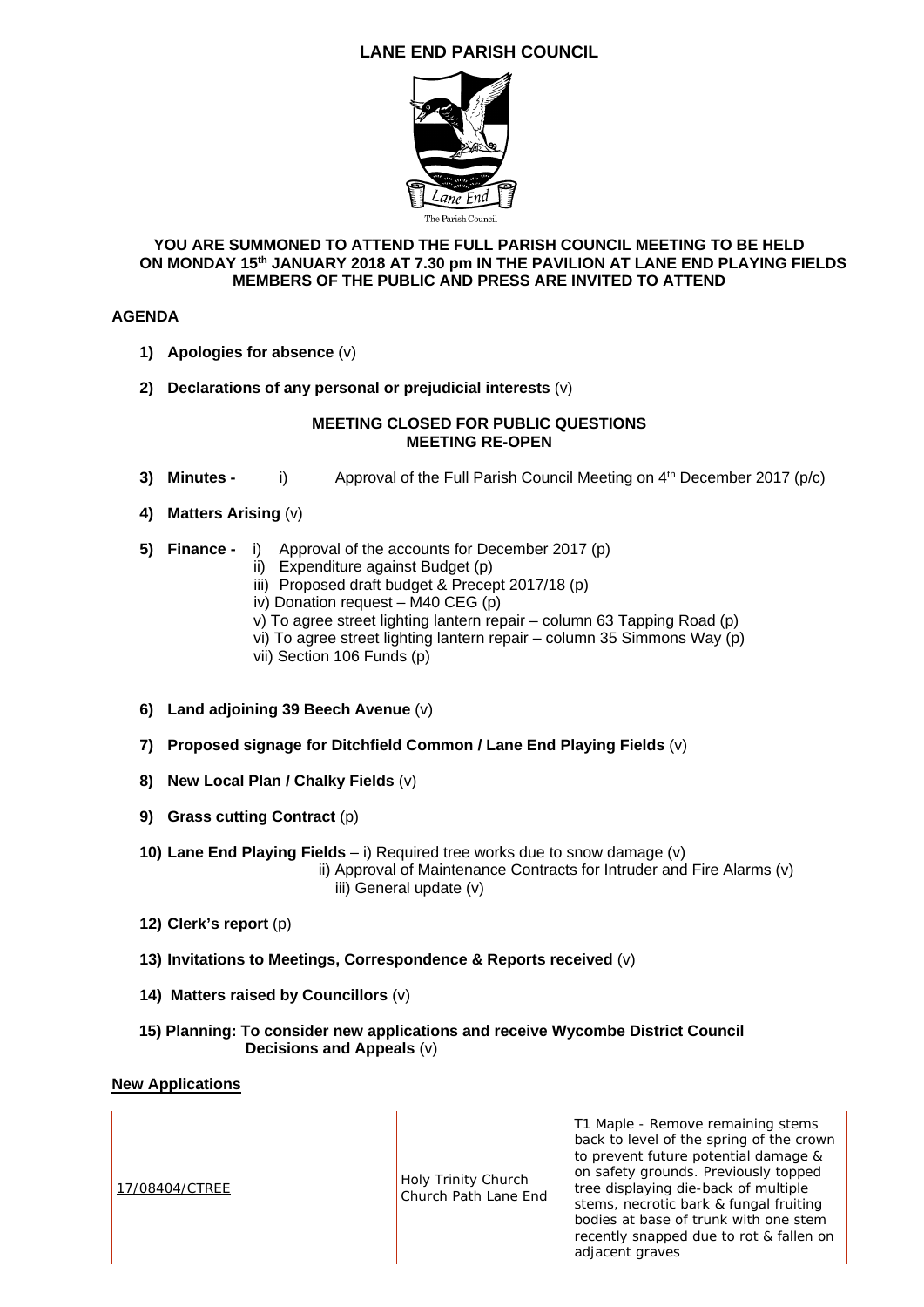# **LANE END PARISH COUNCIL**



#### **YOU ARE SUMMONED TO ATTEND THE FULL PARISH COUNCIL MEETING TO BE HELD ON MONDAY 15th JANUARY 2018 AT 7.30 pm IN THE PAVILION AT LANE END PLAYING FIELDS MEMBERS OF THE PUBLIC AND PRESS ARE INVITED TO ATTEND**

## **AGENDA**

- **1) Apologies for absence** (v)
- **2) Declarations of any personal or prejudicial interests** (v)

### **MEETING CLOSED FOR PUBLIC QUESTIONS MEETING RE-OPEN**

- **3) Minutes -** i) Approval of the Full Parish Council Meeting on 4<sup>th</sup> December 2017 (p/c)
- **4) Matters Arising** (v)
- **5) Finance** i) Approval of the accounts for December 2017 (p)
	- ii) Expenditure against Budget (p)
	- iii) Proposed draft budget & Precept 2017/18 (p)
	- iv) Donation request M40 CEG (p)
	- v) To agree street lighting lantern repair column 63 Tapping Road (p)
	- vi) To agree street lighting lantern repair column 35 Simmons Way (p)
	- vii) Section 106 Funds (p)
- **6) Land adjoining 39 Beech Avenue** (v)
- **7) Proposed signage for Ditchfield Common / Lane End Playing Fields** (v)
- **8) New Local Plan / Chalky Fields** (v)
- **9) Grass cutting Contract** (p)
- **10) Lane End Playing Fields**  i) Required tree works due to snow damage (v) ii) Approval of Maintenance Contracts for Intruder and Fire Alarms (v) iii) General update (v)
- **12) Clerk's report** (p)
- **13) Invitations to Meetings, Correspondence & Reports received** (v)
- **14) Matters raised by Councillors** (v)
- **15) Planning: To consider new applications and receive Wycombe District Council Decisions and Appeals** (v)

#### **New Applications**

17/08404/CTREE Holy Trinity Church Church Path Lane End

T1 Maple - Remove remaining stems back to level of the spring of the crown to prevent future potential damage & on safety grounds. Previously topped tree displaying die-back of multiple stems, necrotic bark & fungal fruiting bodies at base of trunk with one stem recently snapped due to rot & fallen on adjacent graves